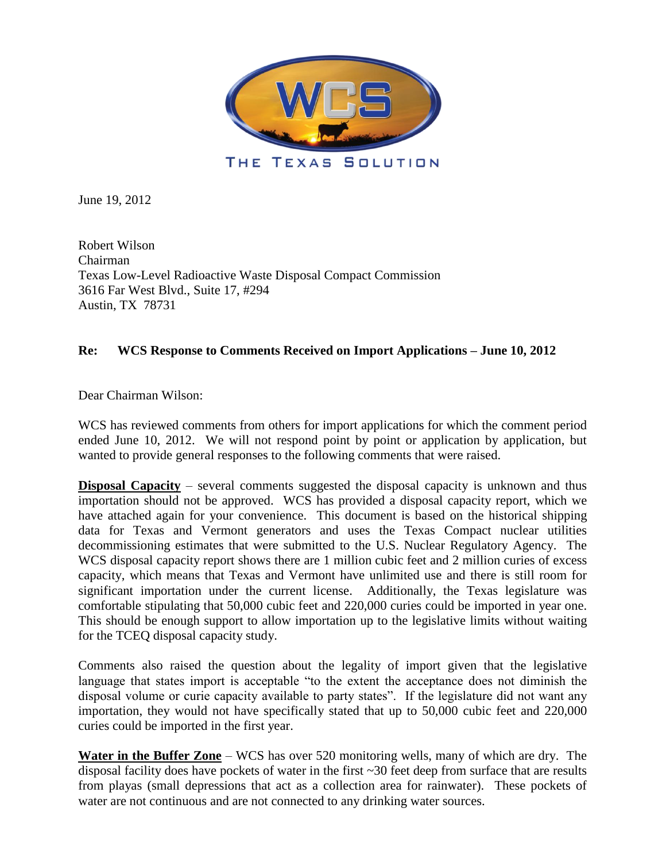

June 19, 2012

Robert Wilson Chairman Texas Low-Level Radioactive Waste Disposal Compact Commission 3616 Far West Blvd., Suite 17, #294 Austin, TX 78731

## **Re: WCS Response to Comments Received on Import Applications – June 10, 2012**

Dear Chairman Wilson:

WCS has reviewed comments from others for import applications for which the comment period ended June 10, 2012. We will not respond point by point or application by application, but wanted to provide general responses to the following comments that were raised.

**Disposal Capacity** – several comments suggested the disposal capacity is unknown and thus importation should not be approved. WCS has provided a disposal capacity report, which we have attached again for your convenience. This document is based on the historical shipping data for Texas and Vermont generators and uses the Texas Compact nuclear utilities decommissioning estimates that were submitted to the U.S. Nuclear Regulatory Agency. The WCS disposal capacity report shows there are 1 million cubic feet and 2 million curies of excess capacity, which means that Texas and Vermont have unlimited use and there is still room for significant importation under the current license. Additionally, the Texas legislature was comfortable stipulating that 50,000 cubic feet and 220,000 curies could be imported in year one. This should be enough support to allow importation up to the legislative limits without waiting for the TCEQ disposal capacity study.

Comments also raised the question about the legality of import given that the legislative language that states import is acceptable "to the extent the acceptance does not diminish the disposal volume or curie capacity available to party states". If the legislature did not want any importation, they would not have specifically stated that up to 50,000 cubic feet and 220,000 curies could be imported in the first year.

**Water in the Buffer Zone** – WCS has over 520 monitoring wells, many of which are dry. The disposal facility does have pockets of water in the first ~30 feet deep from surface that are results from playas (small depressions that act as a collection area for rainwater). These pockets of water are not continuous and are not connected to any drinking water sources.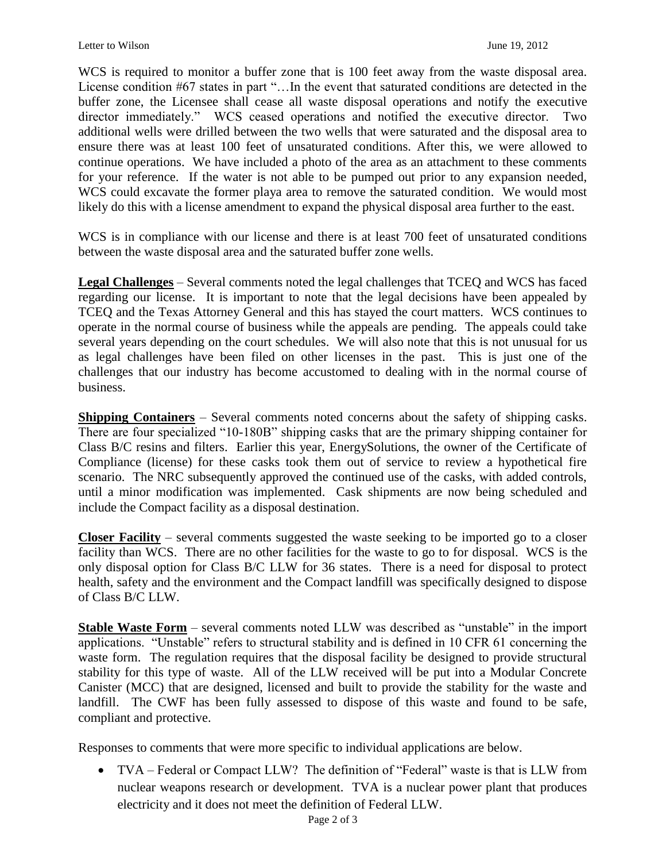WCS is required to monitor a buffer zone that is 100 feet away from the waste disposal area. License condition #67 states in part "…In the event that saturated conditions are detected in the buffer zone, the Licensee shall cease all waste disposal operations and notify the executive director immediately." WCS ceased operations and notified the executive director. Two additional wells were drilled between the two wells that were saturated and the disposal area to ensure there was at least 100 feet of unsaturated conditions. After this, we were allowed to continue operations. We have included a photo of the area as an attachment to these comments for your reference. If the water is not able to be pumped out prior to any expansion needed, WCS could excavate the former playa area to remove the saturated condition. We would most likely do this with a license amendment to expand the physical disposal area further to the east.

WCS is in compliance with our license and there is at least 700 feet of unsaturated conditions between the waste disposal area and the saturated buffer zone wells.

**Legal Challenges** – Several comments noted the legal challenges that TCEQ and WCS has faced regarding our license. It is important to note that the legal decisions have been appealed by TCEQ and the Texas Attorney General and this has stayed the court matters. WCS continues to operate in the normal course of business while the appeals are pending. The appeals could take several years depending on the court schedules. We will also note that this is not unusual for us as legal challenges have been filed on other licenses in the past. This is just one of the challenges that our industry has become accustomed to dealing with in the normal course of business.

**Shipping Containers** – Several comments noted concerns about the safety of shipping casks. There are four specialized "10-180B" shipping casks that are the primary shipping container for Class B/C resins and filters. Earlier this year, EnergySolutions, the owner of the Certificate of Compliance (license) for these casks took them out of service to review a hypothetical fire scenario. The NRC subsequently approved the continued use of the casks, with added controls, until a minor modification was implemented. Cask shipments are now being scheduled and include the Compact facility as a disposal destination.

**Closer Facility** – several comments suggested the waste seeking to be imported go to a closer facility than WCS. There are no other facilities for the waste to go to for disposal. WCS is the only disposal option for Class B/C LLW for 36 states. There is a need for disposal to protect health, safety and the environment and the Compact landfill was specifically designed to dispose of Class B/C LLW.

**Stable Waste Form** – several comments noted LLW was described as "unstable" in the import applications. "Unstable" refers to structural stability and is defined in 10 CFR 61 concerning the waste form. The regulation requires that the disposal facility be designed to provide structural stability for this type of waste. All of the LLW received will be put into a Modular Concrete Canister (MCC) that are designed, licensed and built to provide the stability for the waste and landfill. The CWF has been fully assessed to dispose of this waste and found to be safe, compliant and protective.

Responses to comments that were more specific to individual applications are below.

 TVA – Federal or Compact LLW? The definition of "Federal" waste is that is LLW from nuclear weapons research or development. TVA is a nuclear power plant that produces electricity and it does not meet the definition of Federal LLW.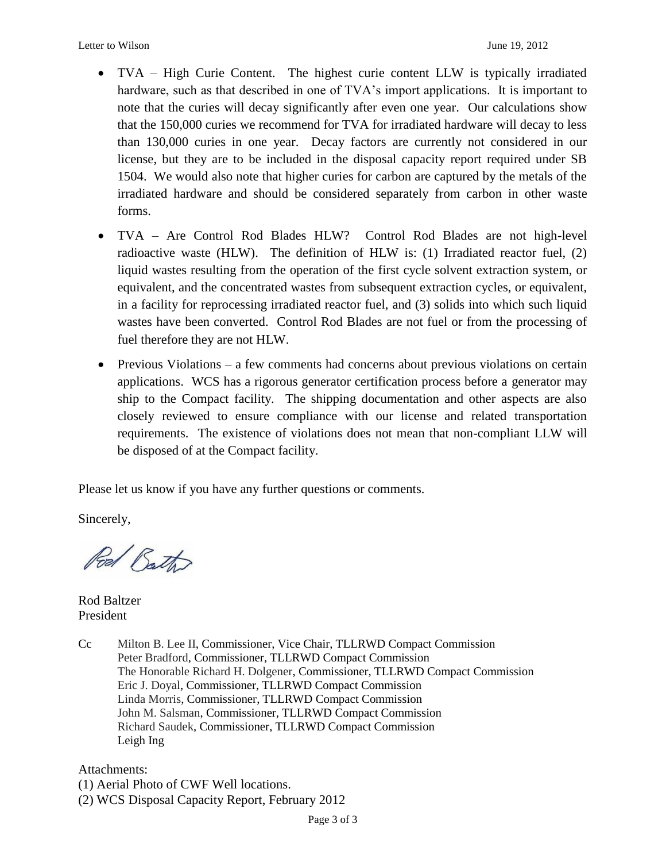- TVA High Curie Content. The highest curie content LLW is typically irradiated hardware, such as that described in one of TVA's import applications. It is important to note that the curies will decay significantly after even one year. Our calculations show that the 150,000 curies we recommend for TVA for irradiated hardware will decay to less than 130,000 curies in one year. Decay factors are currently not considered in our license, but they are to be included in the disposal capacity report required under SB 1504. We would also note that higher curies for carbon are captured by the metals of the irradiated hardware and should be considered separately from carbon in other waste forms.
- TVA Are Control Rod Blades HLW? Control Rod Blades are not high-level radioactive waste (HLW). The definition of HLW is: (1) Irradiated reactor fuel, (2) liquid wastes resulting from the operation of the first cycle solvent extraction system, or equivalent, and the concentrated wastes from subsequent extraction cycles, or equivalent, in a facility for reprocessing irradiated reactor fuel, and (3) solids into which such liquid wastes have been converted. Control Rod Blades are not fuel or from the processing of fuel therefore they are not HLW.
- Previous Violations a few comments had concerns about previous violations on certain applications. WCS has a rigorous generator certification process before a generator may ship to the Compact facility. The shipping documentation and other aspects are also closely reviewed to ensure compliance with our license and related transportation requirements. The existence of violations does not mean that non-compliant LLW will be disposed of at the Compact facility.

Please let us know if you have any further questions or comments.

Sincerely,

Pod Bath

Rod Baltzer President

Cc Milton B. Lee II, Commissioner, Vice Chair, TLLRWD Compact Commission Peter Bradford, Commissioner, TLLRWD Compact Commission The Honorable Richard H. Dolgener, Commissioner, TLLRWD Compact Commission Eric J. Doyal, Commissioner, TLLRWD Compact Commission Linda Morris, Commissioner, TLLRWD Compact Commission John M. Salsman, Commissioner, TLLRWD Compact Commission Richard Saudek, Commissioner, TLLRWD Compact Commission Leigh Ing

Attachments: (1) Aerial Photo of CWF Well locations. (2) WCS Disposal Capacity Report, February 2012